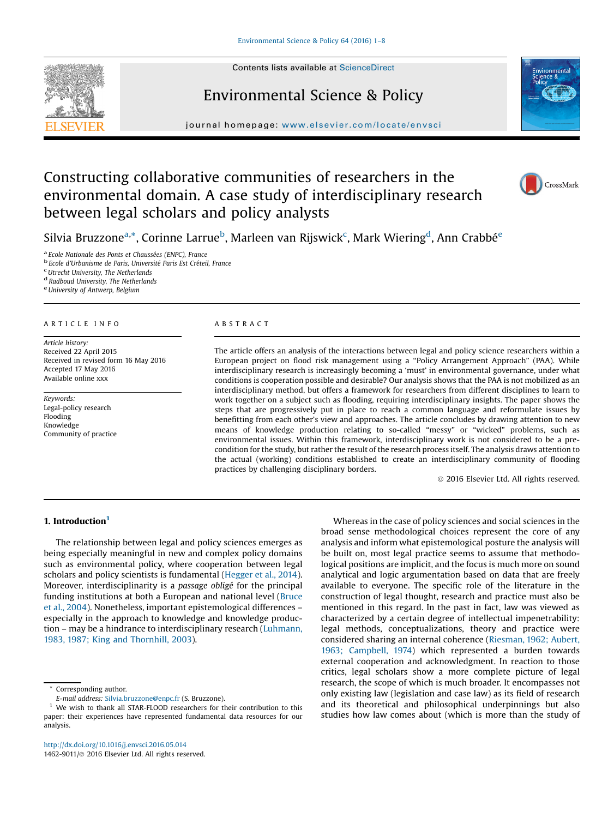# Environmental Science & Policy

journal homepage: <www.elsevier.com/locate/envsci>

# Constructing collaborative communities of researchers in the environmental domain. A case study of interdisciplinary research between legal scholars and policy analysts



Silvia Bruzzone<sup>a,</sup>\*, Corinne Larrue<sup>b</sup>, Marleen van Rijswick<sup>c</sup>, Mark Wiering<sup>d</sup>, Ann Crabbé<sup>e</sup>

<sup>a</sup> Ecole Nationale des Ponts et Chaussées (ENPC), France<br><sup>b</sup> Ecole d'Urbanisme de Paris, Université Paris Est Créteil, France<br><sup>c</sup> Utrecht University, The Netherlands

<sup>d</sup> Radboud University, The Netherlands  $\degree$  University of Antwerp, Belgium

#### A R T I C L E I N F O

Article history: Received 22 April 2015 Received in revised form 16 May 2016 Accepted 17 May 2016 Available online xxx

Keywords: Legal-policy research Flooding Knowledge Community of practice

### A B S T R A C T

The article offers an analysis of the interactions between legal and policy science researchers within a European project on flood risk management using a "Policy Arrangement Approach" (PAA). While interdisciplinary research is increasingly becoming a 'must' in environmental governance, under what conditions is cooperation possible and desirable? Our analysis shows that the PAA is not mobilized as an interdisciplinary method, but offers a framework for researchers from different disciplines to learn to work together on a subject such as flooding, requiring interdisciplinary insights. The paper shows the steps that are progressively put in place to reach a common language and reformulate issues by benefitting from each other's view and approaches. The article concludes by drawing attention to new means of knowledge production relating to so-called "messy" or "wicked" problems, such as environmental issues. Within this framework, interdisciplinary work is not considered to be a precondition for the study, but rather the result of the research process itself. The analysis draws attention to the actual (working) conditions established to create an interdisciplinary community of flooding practices by challenging disciplinary borders.

ã 2016 Elsevier Ltd. All rights reserved.

## 1. Introduction<sup>1</sup>

The relationship between legal and policy sciences emerges as being especially meaningful in new and complex policy domains such as environmental policy, where cooperation between legal scholars and policy scientists is fundamental [\(Hegger](#page-7-0) et al., 2014). Moreover, interdisciplinarity is a passage obligé for the principal funding institutions at both a European and national level ([Bruce](#page-7-0) et al., [2004](#page-7-0)). Nonetheless, important epistemological differences – especially in the approach to knowledge and knowledge production – may be a hindrance to interdisciplinary research [\(Luhmann,](#page-7-0) 1983, 1987; King and [Thornhill,](#page-7-0) 2003).

Corresponding author.

Whereas in the case of policy sciences and social sciences in the broad sense methodological choices represent the core of any analysis and inform what epistemological posture the analysis will be built on, most legal practice seems to assume that methodological positions are implicit, and the focus is much more on sound analytical and logic argumentation based on data that are freely available to everyone. The specific role of the literature in the construction of legal thought, research and practice must also be mentioned in this regard. In the past in fact, law was viewed as characterized by a certain degree of intellectual impenetrability: legal methods, conceptualizations, theory and practice were considered sharing an internal coherence ([Riesman,](#page-7-0) 1962; Aubert, 1963; [Campbell,](#page-7-0) 1974) which represented a burden towards external cooperation and acknowledgment. In reaction to those critics, legal scholars show a more complete picture of legal research, the scope of which is much broader. It encompasses not only existing law (legislation and case law) as its field of research and its theoretical and philosophical underpinnings but also studies how law comes about (which is more than the study of



E-mail address: [Silvia.bruzzone@enpc.fr](mailto:Silvia.bruzzone@enpc.fr) (S. Bruzzone).

<sup>&</sup>lt;sup>1</sup> We wish to thank all STAR-FLOOD researchers for their contribution to this paper: their experiences have represented fundamental data resources for our analysis.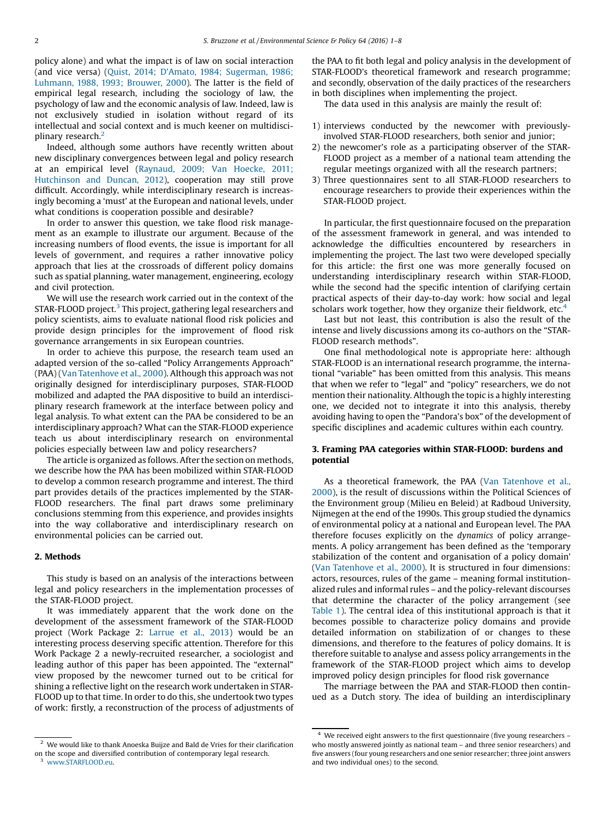policy alone) and what the impact is of law on social interaction (and vice versa) (Quist, 2014; D'Amato, 1984; [Sugerman,](#page-7-0) 1986; [Luhmann,](#page-7-0) 1988, 1993; Brouwer, 2000). The latter is the field of empirical legal research, including the sociology of law, the psychology of law and the economic analysis of law. Indeed, law is not exclusively studied in isolation without regard of its intellectual and social context and is much keener on multidisciplinary research.<sup>2</sup>

Indeed, although some authors have recently written about new disciplinary convergences between legal and policy research at an empirical level ([Raynaud,](#page-7-0) 2009; Van Hoecke, 2011; [Hutchinson](#page-7-0) and Duncan, 2012), cooperation may still prove difficult. Accordingly, while interdisciplinary research is increasingly becoming a 'must' at the European and national levels, under what conditions is cooperation possible and desirable?

In order to answer this question, we take flood risk management as an example to illustrate our argument. Because of the increasing numbers of flood events, the issue is important for all levels of government, and requires a rather innovative policy approach that lies at the crossroads of different policy domains such as spatial planning, water management, engineering, ecology and civil protection.

We will use the research work carried out in the context of the  $STAR-FLOOD$  project.<sup>3</sup> This project, gathering legal researchers and policy scientists, aims to evaluate national flood risk policies and provide design principles for the improvement of flood risk governance arrangements in six European countries.

In order to achieve this purpose, the research team used an adapted version of the so-called "Policy Arrangements Approach" (PAA) (Van [Tatenhove](#page-7-0) et al., 2000). Although this approach was not originally designed for interdisciplinary purposes, STAR-FLOOD mobilized and adapted the PAA dispositive to build an interdisciplinary research framework at the interface between policy and legal analysis. To what extent can the PAA be considered to be an interdisciplinary approach? What can the STAR-FLOOD experience teach us about interdisciplinary research on environmental policies especially between law and policy researchers?

The article is organized as follows. After the section on methods, we describe how the PAA has been mobilized within STAR-FLOOD to develop a common research programme and interest. The third part provides details of the practices implemented by the STAR-FLOOD researchers. The final part draws some preliminary conclusions stemming from this experience, and provides insights into the way collaborative and interdisciplinary research on environmental policies can be carried out.

## 2. Methods

This study is based on an analysis of the interactions between legal and policy researchers in the implementation processes of the STAR-FLOOD project.

It was immediately apparent that the work done on the development of the assessment framework of the STAR-FLOOD project (Work Package 2: [Larrue](#page-7-0) et al., 2013) would be an interesting process deserving specific attention. Therefore for this Work Package 2 a newly-recruited researcher, a sociologist and leading author of this paper has been appointed. The "external" view proposed by the newcomer turned out to be critical for shining a reflective light on the research work undertaken in STAR-FLOOD up to that time. In order to do this, she undertook two types of work: firstly, a reconstruction of the process of adjustments of the PAA to fit both legal and policy analysis in the development of STAR-FLOOD's theoretical framework and research programme; and secondly, observation of the daily practices of the researchers in both disciplines when implementing the project.

The data used in this analysis are mainly the result of:

- 1) interviews conducted by the newcomer with previouslyinvolved STAR-FLOOD researchers, both senior and junior;
- 2) the newcomer's role as a participating observer of the STAR-FLOOD project as a member of a national team attending the regular meetings organized with all the research partners;
- 3) Three questionnaires sent to all STAR-FLOOD researchers to encourage researchers to provide their experiences within the STAR-FLOOD project.

In particular, the first questionnaire focused on the preparation of the assessment framework in general, and was intended to acknowledge the difficulties encountered by researchers in implementing the project. The last two were developed specially for this article: the first one was more generally focused on understanding interdisciplinary research within STAR-FLOOD, while the second had the specific intention of clarifying certain practical aspects of their day-to-day work: how social and legal scholars work together, how they organize their fieldwork, etc.<sup>4</sup>

Last but not least, this contribution is also the result of the intense and lively discussions among its co-authors on the "STAR-FLOOD research methods".

One final methodological note is appropriate here: although STAR-FLOOD is an international research programme, the international "variable" has been omitted from this analysis. This means that when we refer to "legal" and "policy" researchers, we do not mention their nationality. Although the topic is a highly interesting one, we decided not to integrate it into this analysis, thereby avoiding having to open the "Pandora's box" of the development of specific disciplines and academic cultures within each country.

## 3. Framing PAA categories within STAR-FLOOD: burdens and potential

As a theoretical framework, the PAA (Van [Tatenhove](#page-7-0) et al., [2000](#page-7-0)), is the result of discussions within the Political Sciences of the Environment group (Milieu en Beleid) at Radboud University, Nijmegen at the end of the 1990s. This group studied the dynamics of environmental policy at a national and European level. The PAA therefore focuses explicitly on the dynamics of policy arrangements. A policy arrangement has been defined as the 'temporary stabilization of the content and organisation of a policy domain' (Van [Tatenhove](#page-7-0) et al., 2000). It is structured in four dimensions: actors, resources, rules of the game – meaning formal institutionalized rules and informal rules – and the policy-relevant discourses that determine the character of the policy arrangement (see [Table](#page-2-0) 1). The central idea of this institutional approach is that it becomes possible to characterize policy domains and provide detailed information on stabilization of or changes to these dimensions, and therefore to the features of policy domains. It is therefore suitable to analyse and assess policy arrangements in the framework of the STAR-FLOOD project which aims to develop improved policy design principles for flood risk governance

The marriage between the PAA and STAR-FLOOD then continued as a Dutch story. The idea of building an interdisciplinary

 $2$  We would like to thank Anoeska Buijze and Bald de Vries for their clarification on the scope and diversified contribution of contemporary legal research. <sup>3</sup> [www.STARFLOOD.eu](http://www.STARFLOOD.eu).

<sup>4</sup> We received eight answers to the first questionnaire (five young researchers – who mostly answered jointly as national team – and three senior researchers) and five answers (four young researchers and one senior researcher; three joint answers and two individual ones) to the second.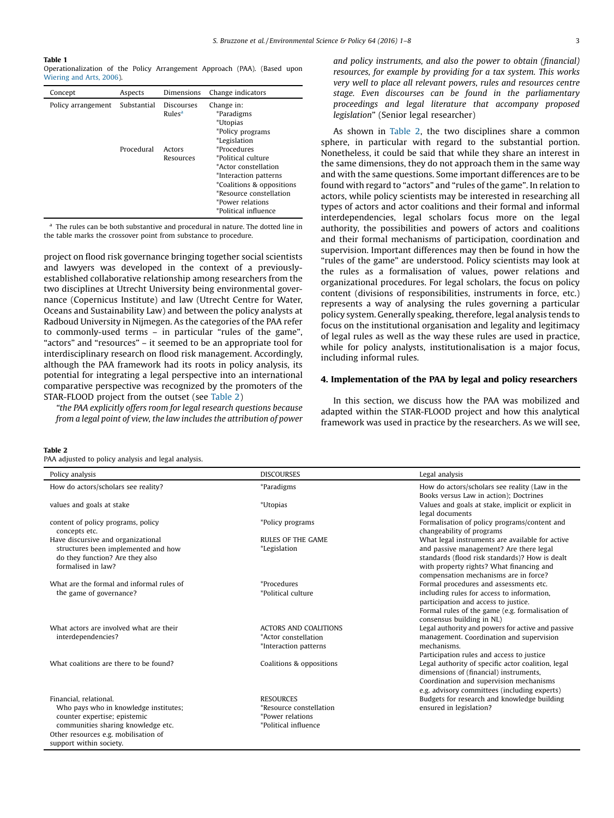#### <span id="page-2-0"></span>Table 1

Operationalization of the Policy Arrangement Approach (PAA). (Based upon [Wiering](#page-7-0) and Arts, 2006).

| Concept            | Aspects     | Dimensions                              | Change indicators                                                                                                                                                                                 |
|--------------------|-------------|-----------------------------------------|---------------------------------------------------------------------------------------------------------------------------------------------------------------------------------------------------|
| Policy arrangement | Substantial | <b>Discourses</b><br>Rules <sup>a</sup> | Change in:<br><i>*Paradigms</i><br>*Utopias<br>*Policy programs<br><i>*Legislation</i>                                                                                                            |
|                    | Procedural  | Actors<br>Resources                     | *Procedures<br>*Political culture<br>*Actor constellation<br>*Interaction patterns<br><i>*Coalitions &amp; oppositions</i><br>*Resource constellation<br>*Power relations<br>*Political influence |

<sup>a</sup> The rules can be both substantive and procedural in nature. The dotted line in the table marks the crossover point from substance to procedure.

project on flood risk governance bringing together social scientists and lawyers was developed in the context of a previouslyestablished collaborative relationship among researchers from the two disciplines at Utrecht University being environmental governance (Copernicus Institute) and law (Utrecht Centre for Water, Oceans and Sustainability Law) and between the policy analysts at Radboud University in Nijmegen. As the categories of the PAA refer to commonly-used terms – in particular "rules of the game", "actors" and "resources" – it seemed to be an appropriate tool for interdisciplinary research on flood risk management. Accordingly, although the PAA framework had its roots in policy analysis, its potential for integrating a legal perspective into an international comparative perspective was recognized by the promoters of the STAR-FLOOD project from the outset (see Table 2)

"the PAA explicitly offers room for legal research questions because from a legal point of view, the law includes the attribution of power and policy instruments, and also the power to obtain (financial) resources, for example by providing for a tax system. This works very well to place all relevant powers, rules and resources centre stage. Even discourses can be found in the parliamentary proceedings and legal literature that accompany proposed legislation" (Senior legal researcher)

As shown in Table 2, the two disciplines share a common sphere, in particular with regard to the substantial portion. Nonetheless, it could be said that while they share an interest in the same dimensions, they do not approach them in the same way and with the same questions. Some important differences are to be found with regard to "actors" and "rules of the game". In relation to actors, while policy scientists may be interested in researching all types of actors and actor coalitions and their formal and informal interdependencies, legal scholars focus more on the legal authority, the possibilities and powers of actors and coalitions and their formal mechanisms of participation, coordination and supervision. Important differences may then be found in how the "rules of the game" are understood. Policy scientists may look at the rules as a formalisation of values, power relations and organizational procedures. For legal scholars, the focus on policy content (divisions of responsibilities, instruments in force, etc.) represents a way of analysing the rules governing a particular policy system. Generally speaking, therefore, legal analysis tends to focus on the institutional organisation and legality and legitimacy of legal rules as well as the way these rules are used in practice, while for policy analysts, institutionalisation is a major focus, including informal rules.

#### 4. Implementation of the PAA by legal and policy researchers

In this section, we discuss how the PAA was mobilized and adapted within the STAR-FLOOD project and how this analytical framework was used in practice by the researchers. As we will see,

| ۰.<br>. .<br>. . |  |  |  |
|------------------|--|--|--|
|------------------|--|--|--|

PAA adjusted to policy analysis and legal analysis.

| Policy analysis                                                           | <b>DISCOURSES</b>                        | Legal analysis                                                                                                                      |
|---------------------------------------------------------------------------|------------------------------------------|-------------------------------------------------------------------------------------------------------------------------------------|
| How do actors/scholars see reality?                                       | *Paradigms                               | How do actors/scholars see reality (Law in the<br>Books versus Law in action); Doctrines                                            |
| values and goals at stake                                                 | <i>*</i> Utopias                         | Values and goals at stake, implicit or explicit in<br>legal documents                                                               |
| content of policy programs, policy<br>concepts etc.                       | *Policy programs                         | Formalisation of policy programs/content and<br>changeability of programs                                                           |
| Have discursive and organizational<br>structures been implemented and how | RULES OF THE GAME<br><i>*Legislation</i> | What legal instruments are available for active<br>and passive management? Are there legal                                          |
| do they function? Are they also<br>formalised in law?                     |                                          | standards (flood risk standards)? How is dealt<br>with property rights? What financing and<br>compensation mechanisms are in force? |
| What are the formal and informal rules of                                 | *Procedures                              | Formal procedures and assessments etc.                                                                                              |
| the game of governance?                                                   | *Political culture                       | including rules for access to information,                                                                                          |
|                                                                           |                                          | participation and access to justice.                                                                                                |
|                                                                           |                                          | Formal rules of the game (e.g. formalisation of<br>consensus building in NL)                                                        |
| What actors are involved what are their                                   | <b>ACTORS AND COALITIONS</b>             | Legal authority and powers for active and passive                                                                                   |
| interdependencies?                                                        | *Actor constellation                     | management. Coordination and supervision                                                                                            |
|                                                                           | *Interaction patterns                    | mechanisms.<br>Participation rules and access to justice                                                                            |
| What coalitions are there to be found?                                    | Coalitions & oppositions                 | Legal authority of specific actor coalition, legal                                                                                  |
|                                                                           |                                          | dimensions of (financial) instruments,                                                                                              |
|                                                                           |                                          | Coordination and supervision mechanisms<br>e.g. advisory committees (including experts)                                             |
| Financial, relational.                                                    | <b>RESOURCES</b>                         | Budgets for research and knowledge building                                                                                         |
| Who pays who in knowledge institutes;                                     | *Resource constellation                  | ensured in legislation?                                                                                                             |
| counter expertise; epistemic                                              | *Power relations                         |                                                                                                                                     |
| communities sharing knowledge etc.                                        | *Political influence                     |                                                                                                                                     |
| Other resources e.g. mobilisation of                                      |                                          |                                                                                                                                     |
| support within society.                                                   |                                          |                                                                                                                                     |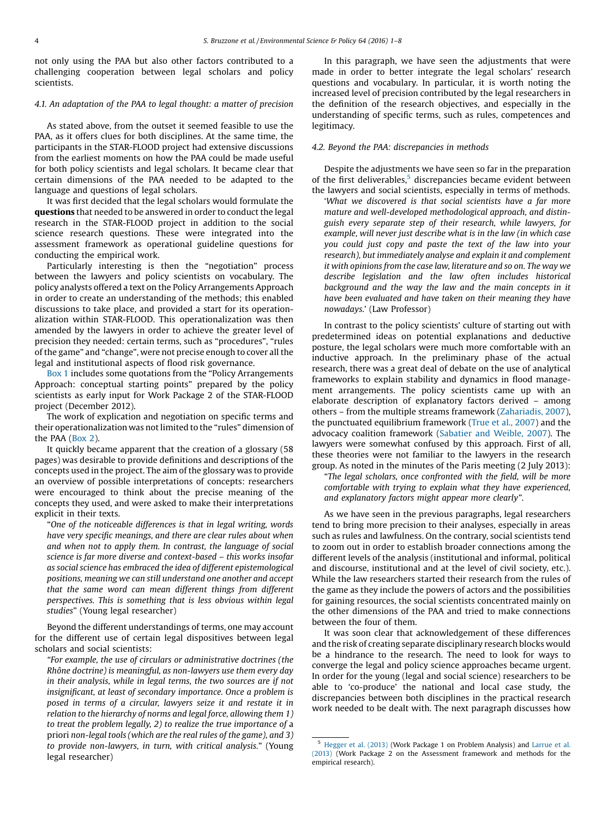not only using the PAA but also other factors contributed to a challenging cooperation between legal scholars and policy scientists.

## 4.1. An adaptation of the PAA to legal thought: a matter of precision

As stated above, from the outset it seemed feasible to use the PAA, as it offers clues for both disciplines. At the same time, the participants in the STAR-FLOOD project had extensive discussions from the earliest moments on how the PAA could be made useful for both policy scientists and legal scholars. It became clear that certain dimensions of the PAA needed to be adapted to the language and questions of legal scholars.

It was first decided that the legal scholars would formulate the **questions** that needed to be answered in order to conduct the legal research in the STAR-FLOOD project in addition to the social science research questions. These were integrated into the assessment framework as operational guideline questions for conducting the empirical work.

Particularly interesting is then the "negotiation" process between the lawyers and policy scientists on vocabulary. The policy analysts offered a text on the Policy Arrangements Approach in order to create an understanding of the methods; this enabled discussions to take place, and provided a start for its operationalization within STAR-FLOOD. This operationalization was then amended by the lawyers in order to achieve the greater level of precision they needed: certain terms, such as "procedures", "rules of the game" and "change", were not precise enough to cover all the legal and institutional aspects of flood risk governance.

[Box](#page-4-0) 1 includes some quotations from the "Policy Arrangements Approach: conceptual starting points" prepared by the policy scientists as early input for Work Package 2 of the STAR-FLOOD project (December 2012).

The work of explication and negotiation on specific terms and their operationalization was not limited to the "rules" dimension of the PAA ([Box](#page-4-0) 2).

It quickly became apparent that the creation of a glossary (58 pages) was desirable to provide definitions and descriptions of the concepts used in the project. The aim of the glossary was to provide an overview of possible interpretations of concepts: researchers were encouraged to think about the precise meaning of the concepts they used, and were asked to make their interpretations explicit in their texts.

"One of the noticeable differences is that in legal writing, words have very specific meanings, and there are clear rules about when and when not to apply them. In contrast, the language of social science is far more diverse and context-based – this works insofar as social science has embraced the idea of different epistemological positions, meaning we can still understand one another and accept that the same word can mean different things from different perspectives. This is something that is less obvious within legal studies" (Young legal researcher)

Beyond the different understandings of terms, one may account for the different use of certain legal dispositives between legal scholars and social scientists:

"For example, the use of circulars or administrative doctrines (the Rhône doctrine) is meaningful, as non-lawyers use them every day in their analysis, while in legal terms, the two sources are if not insignificant, at least of secondary importance. Once a problem is posed in terms of a circular, lawyers seize it and restate it in relation to the hierarchy of norms and legal force, allowing them 1) to treat the problem legally, 2) to realize the true importance of a priori non-legal tools (which are the real rules of the game), and 3) to provide non-lawyers, in turn, with critical analysis." (Young legal researcher)

In this paragraph, we have seen the adjustments that were made in order to better integrate the legal scholars' research questions and vocabulary. In particular, it is worth noting the increased level of precision contributed by the legal researchers in the definition of the research objectives, and especially in the understanding of specific terms, such as rules, competences and legitimacy.

#### 4.2. Beyond the PAA: discrepancies in methods

Despite the adjustments we have seen so far in the preparation of the first deliverables, $5$  discrepancies became evident between the lawyers and social scientists, especially in terms of methods.

'What we discovered is that social scientists have a far more mature and well-developed methodological approach, and distinguish every separate step of their research, while lawyers, for example, will never just describe what is in the law (in which case you could just copy and paste the text of the law into your research), but immediately analyse and explain it and complement it with opinions from the case law, literature and so on. The way we describe legislation and the law often includes historical background and the way the law and the main concepts in it have been evaluated and have taken on their meaning they have nowadays.' (Law Professor)

In contrast to the policy scientists' culture of starting out with predetermined ideas on potential explanations and deductive posture, the legal scholars were much more comfortable with an inductive approach. In the preliminary phase of the actual research, there was a great deal of debate on the use of analytical frameworks to explain stability and dynamics in flood management arrangements. The policy scientists came up with an elaborate description of explanatory factors derived – among others – from the multiple streams framework [\(Zahariadis,](#page-7-0) 2007), the punctuated equilibrium framework (True et al., [2007](#page-7-0)) and the advocacy coalition framework ([Sabatier](#page-7-0) and Weible, 2007). The lawyers were somewhat confused by this approach. First of all, these theories were not familiar to the lawyers in the research group. As noted in the minutes of the Paris meeting (2 July 2013):

"The legal scholars, once confronted with the field, will be more comfortable with trying to explain what they have experienced, and explanatory factors might appear more clearly".

As we have seen in the previous paragraphs, legal researchers tend to bring more precision to their analyses, especially in areas such as rules and lawfulness. On the contrary, social scientists tend to zoom out in order to establish broader connections among the different levels of the analysis (institutional and informal, political and discourse, institutional and at the level of civil society, etc.). While the law researchers started their research from the rules of the game as they include the powers of actors and the possibilities for gaining resources, the social scientists concentrated mainly on the other dimensions of the PAA and tried to make connections between the four of them.

It was soon clear that acknowledgement of these differences and the risk of creating separate disciplinary research blocks would be a hindrance to the research. The need to look for ways to converge the legal and policy science approaches became urgent. In order for the young (legal and social science) researchers to be able to 'co-produce' the national and local case study, the discrepancies between both disciplines in the practical research work needed to be dealt with. The next paragraph discusses how

<sup>5</sup> [Hegger](#page-7-0) et al. (2013) (Work Package 1 on Problem Analysis) and [Larrue](#page-7-0) et al. [\(2013\)](#page-7-0) (Work Package 2 on the Assessment framework and methods for the empirical research).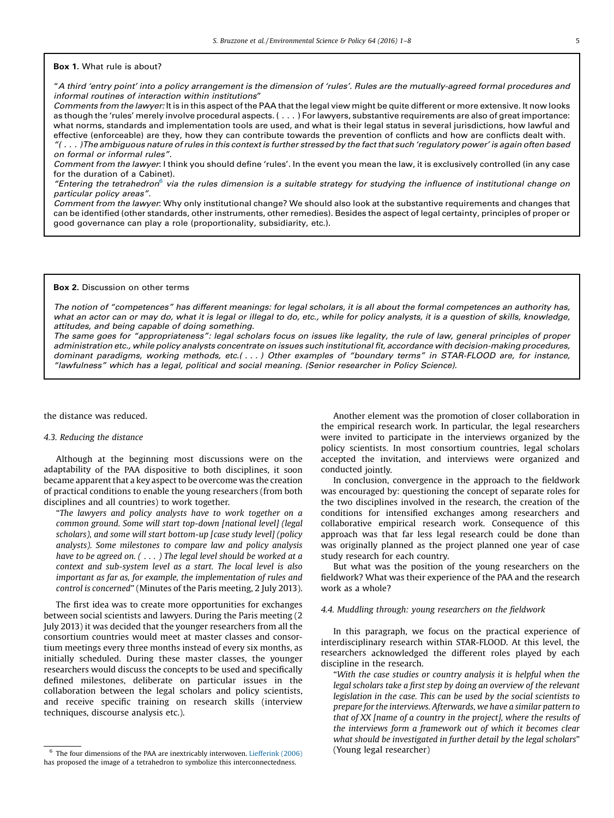<span id="page-4-0"></span>Box 1. What rule is about?

"A third 'entry point' into a policy arrangement is the dimension of 'rules'. Rules are the mutually-agreed formal procedures and informal routines of interaction within institutions"

Comments from the lawyer: It is in this aspect of the PAA that the legal view might be quite different or more extensive. It now looks as though the 'rules' merely involve procedural aspects. ( . . . ) For lawyers, substantive requirements are also of great importance: what norms, standards and implementation tools are used, and what is their legal status in several jurisdictions, how lawful and effective (enforceable) are they, how they can contribute towards the prevention of conflicts and how are conflicts dealt with.  $\degree$ (...) The ambiguous nature of rules in this context is further stressed by the fact that such 'regulatory power' is again often based on formal or informal rules".

Comment from the lawyer: I think you should define 'rules'. In the event you mean the law, it is exclusively controlled (in any case for the duration of a Cabinet).

"Entering the tetrahedron $^6$  via the rules dimension is a suitable strategy for studying the influence of institutional change on particular policy areas".

Comment from the lawyer: Why only institutional change? We should also look at the substantive requirements and changes that can be identified (other standards, other instruments, other remedies). Besides the aspect of legal certainty, principles of proper or good governance can play a role (proportionality, subsidiarity, etc.).

#### Box 2. Discussion on other terms

The notion of "competences" has different meanings: for legal scholars, it is all about the formal competences an authority has, what an actor can or may do, what it is legal or illegal to do, etc., while for policy analysts, it is a question of skills, knowledge, attitudes, and being capable of doing something.

The same goes for "appropriateness": legal scholars focus on issues like legality, the rule of law, general principles of proper administration etc., while policy analysts concentrate on issues such institutional fit, accordance with decision-making procedures, dominant paradigms, working methods, etc.( . . .) Other examples of "boundary terms" in STAR-FLOOD are, for instance, "lawfulness" which has a legal, political and social meaning. (Senior researcher in Policy Science).

the distance was reduced.

#### 4.3. Reducing the distance

Although at the beginning most discussions were on the adaptability of the PAA dispositive to both disciplines, it soon became apparent that a key aspect to be overcome was the creation of practical conditions to enable the young researchers (from both disciplines and all countries) to work together.

"The lawyers and policy analysts have to work together on a common ground. Some will start top-down [national level] (legal scholars), and some will start bottom-up [case study level] (policy analysts). Some milestones to compare law and policy analysis have to be agreed on. ( . . . ) The legal level should be worked at a context and sub-system level as a start. The local level is also important as far as, for example, the implementation of rules and control is concerned" (Minutes of the Paris meeting, 2 July 2013).

The first idea was to create more opportunities for exchanges between social scientists and lawyers. During the Paris meeting (2 July 2013) it was decided that the younger researchers from all the consortium countries would meet at master classes and consortium meetings every three months instead of every six months, as initially scheduled. During these master classes, the younger researchers would discuss the concepts to be used and specifically defined milestones, deliberate on particular issues in the collaboration between the legal scholars and policy scientists, and receive specific training on research skills (interview techniques, discourse analysis etc.).

Another element was the promotion of closer collaboration in the empirical research work. In particular, the legal researchers were invited to participate in the interviews organized by the policy scientists. In most consortium countries, legal scholars accepted the invitation, and interviews were organized and conducted jointly.

In conclusion, convergence in the approach to the fieldwork was encouraged by: questioning the concept of separate roles for the two disciplines involved in the research, the creation of the conditions for intensified exchanges among researchers and collaborative empirical research work. Consequence of this approach was that far less legal research could be done than was originally planned as the project planned one year of case study research for each country.

But what was the position of the young researchers on the fieldwork? What was their experience of the PAA and the research work as a whole?

#### 4.4. Muddling through: young researchers on the fieldwork

In this paragraph, we focus on the practical experience of interdisciplinary research within STAR-FLOOD. At this level, the researchers acknowledged the different roles played by each discipline in the research.

"With the case studies or country analysis it is helpful when the legal scholars take a first step by doing an overview of the relevant legislation in the case. This can be used by the social scientists to prepare for the interviews. Afterwards, we have a similar pattern to that of XX [name of a country in the project], where the results of the interviews form a framework out of which it becomes clear what should be investigated in further detail by the legal scholars"

 $\overline{6}$  The four dimensions of the PAA are inextricably interwoven. [Liefferink](#page-7-0) (2006) (Young legal researcher) has proposed the image of a tetrahedron to symbolize this interconnectedness.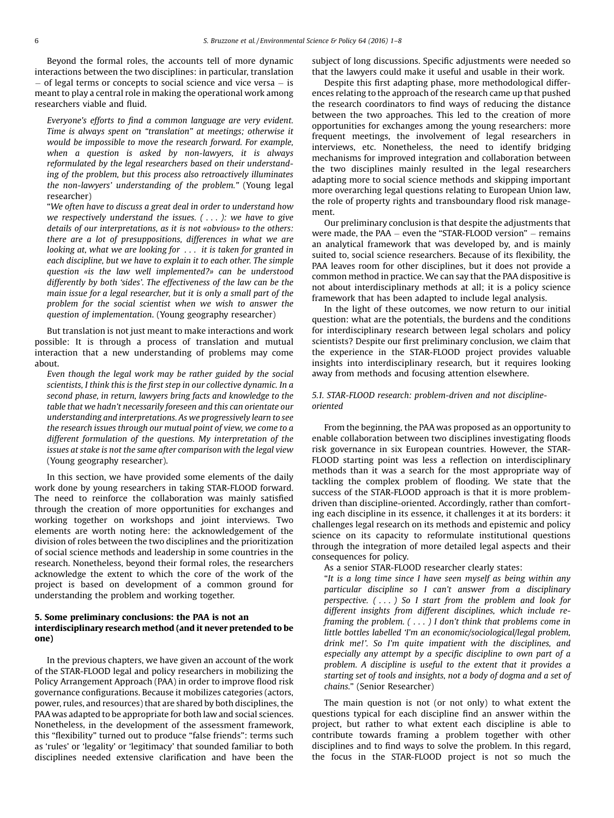Beyond the formal roles, the accounts tell of more dynamic interactions between the two disciplines: in particular, translation  $-$  of legal terms or concepts to social science and vice versa  $-$  is meant to play a central role in making the operational work among researchers viable and fluid.

Everyone's efforts to find a common language are very evident. Time is always spent on "translation" at meetings; otherwise it would be impossible to move the research forward. For example, when a question is asked by non-lawyers, it is always reformulated by the legal researchers based on their understanding of the problem, but this process also retroactively illuminates the non-lawyers' understanding of the problem." (Young legal researcher)

"We often have to discuss a great deal in order to understand how we respectively understand the issues.  $( \ldots )$ : we have to give details of our interpretations, as it is not «obvious» to the others: there are a lot of presuppositions, differences in what we are looking at, what we are looking for . . . it is taken for granted in each discipline, but we have to explain it to each other. The simple question «is the law well implemented?» can be understood differently by both 'sides'. The effectiveness of the law can be the main issue for a legal researcher, but it is only a small part of the problem for the social scientist when we wish to answer the question of implementation. (Young geography researcher)

But translation is not just meant to make interactions and work possible: It is through a process of translation and mutual interaction that a new understanding of problems may come about.

Even though the legal work may be rather guided by the social scientists, I think this is the first step in our collective dynamic. In a second phase, in return, lawyers bring facts and knowledge to the table that we hadn't necessarily foreseen and this can orientate our understanding and interpretations. As we progressively learn to see the research issues through our mutual point of view, we come to a different formulation of the questions. My interpretation of the issues at stake is not the same after comparison with the legal view (Young geography researcher).

In this section, we have provided some elements of the daily work done by young researchers in taking STAR-FLOOD forward. The need to reinforce the collaboration was mainly satisfied through the creation of more opportunities for exchanges and working together on workshops and joint interviews. Two elements are worth noting here: the acknowledgement of the division of roles between the two disciplines and the prioritization of social science methods and leadership in some countries in the research. Nonetheless, beyond their formal roles, the researchers acknowledge the extent to which the core of the work of the project is based on development of a common ground for understanding the problem and working together.

## 5. Some preliminary conclusions: the PAA is not an interdisciplinary research method (and it never pretended to be one)

In the previous chapters, we have given an account of the work of the STAR-FLOOD legal and policy researchers in mobilizing the Policy Arrangement Approach (PAA) in order to improve flood risk governance configurations. Because it mobilizes categories (actors, power, rules, and resources) that are shared by both disciplines, the PAA was adapted to be appropriate for both law and social sciences. Nonetheless, in the development of the assessment framework, this "flexibility" turned out to produce "false friends": terms such as 'rules' or 'legality' or 'legitimacy' that sounded familiar to both disciplines needed extensive clarification and have been the

subject of long discussions. Specific adjustments were needed so that the lawyers could make it useful and usable in their work.

Despite this first adapting phase, more methodological differences relating to the approach of the research came up that pushed the research coordinators to find ways of reducing the distance between the two approaches. This led to the creation of more opportunities for exchanges among the young researchers: more frequent meetings, the involvement of legal researchers in interviews, etc. Nonetheless, the need to identify bridging mechanisms for improved integration and collaboration between the two disciplines mainly resulted in the legal researchers adapting more to social science methods and skipping important more overarching legal questions relating to European Union law, the role of property rights and transboundary flood risk management.

Our preliminary conclusion is that despite the adjustments that were made, the PAA  $-$  even the "STAR-FLOOD version"  $-$  remains an analytical framework that was developed by, and is mainly suited to, social science researchers. Because of its flexibility, the PAA leaves room for other disciplines, but it does not provide a common method in practice. We can say that the PAA dispositive is not about interdisciplinary methods at all; it is a policy science framework that has been adapted to include legal analysis.

In the light of these outcomes, we now return to our initial question: what are the potentials, the burdens and the conditions for interdisciplinary research between legal scholars and policy scientists? Despite our first preliminary conclusion, we claim that the experience in the STAR-FLOOD project provides valuable insights into interdisciplinary research, but it requires looking away from methods and focusing attention elsewhere.

## 5.1. STAR-FLOOD research: problem-driven and not disciplineoriented

From the beginning, the PAA was proposed as an opportunity to enable collaboration between two disciplines investigating floods risk governance in six European countries. However, the STAR-FLOOD starting point was less a reflection on interdisciplinary methods than it was a search for the most appropriate way of tackling the complex problem of flooding. We state that the success of the STAR-FLOOD approach is that it is more problemdriven than discipline-oriented. Accordingly, rather than comforting each discipline in its essence, it challenges it at its borders: it challenges legal research on its methods and epistemic and policy science on its capacity to reformulate institutional questions through the integration of more detailed legal aspects and their consequences for policy.

As a senior STAR-FLOOD researcher clearly states:

"It is a long time since I have seen myself as being within any particular discipline so I can't answer from a disciplinary perspective. ( . . . ) So I start from the problem and look for different insights from different disciplines, which include reframing the problem.  $( \ldots )$  I don't think that problems come in little bottles labelled 'I'm an economic/sociological/legal problem, drink me!'. So I'm quite impatient with the disciplines, and especially any attempt by a specific discipline to own part of a problem. A discipline is useful to the extent that it provides a starting set of tools and insights, not a body of dogma and a set of chains." (Senior Researcher)

The main question is not (or not only) to what extent the questions typical for each discipline find an answer within the project, but rather to what extent each discipline is able to contribute towards framing a problem together with other disciplines and to find ways to solve the problem. In this regard, the focus in the STAR-FLOOD project is not so much the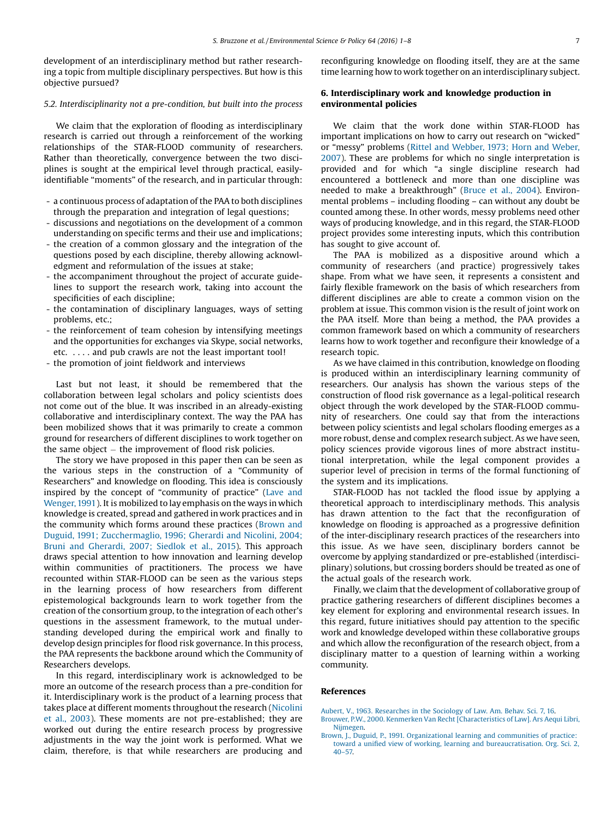development of an interdisciplinary method but rather researching a topic from multiple disciplinary perspectives. But how is this objective pursued?

## 5.2. Interdisciplinarity not a pre-condition, but built into the process

We claim that the exploration of flooding as interdisciplinary research is carried out through a reinforcement of the working relationships of the STAR-FLOOD community of researchers. Rather than theoretically, convergence between the two disciplines is sought at the empirical level through practical, easilyidentifiable "moments" of the research, and in particular through:

- a continuous process of adaptation of the PAA to both disciplines through the preparation and integration of legal questions;
- discussions and negotiations on the development of a common understanding on specific terms and their use and implications;
- the creation of a common glossary and the integration of the questions posed by each discipline, thereby allowing acknowledgment and reformulation of the issues at stake;
- the accompaniment throughout the project of accurate guidelines to support the research work, taking into account the specificities of each discipline;
- the contamination of disciplinary languages, ways of setting problems, etc.;
- the reinforcement of team cohesion by intensifying meetings and the opportunities for exchanges via Skype, social networks, etc. . . . . and pub crawls are not the least important tool!
- the promotion of joint fieldwork and interviews

Last but not least, it should be remembered that the collaboration between legal scholars and policy scientists does not come out of the blue. It was inscribed in an already-existing collaborative and interdisciplinary context. The way the PAA has been mobilized shows that it was primarily to create a common ground for researchers of different disciplines to work together on the same object  $-$  the improvement of flood risk policies.

The story we have proposed in this paper then can be seen as the various steps in the construction of a "Community of Researchers" and knowledge on flooding. This idea is consciously inspired by the concept of "community of practice" [\(Lave](#page-7-0) and [Wenger, 1991](#page-7-0)). It is mobilized to lay emphasis on the ways in which knowledge is created, spread and gathered in work practices and in the community which forms around these practices (Brown and Duguid, 1991; Zucchermaglio, 1996; Gherardi and Nicolini, 2004; Bruni and Gherardi, 2007; Siedlok et al., 2015). This approach draws special attention to how innovation and learning develop within communities of practitioners. The process we have recounted within STAR-FLOOD can be seen as the various steps in the learning process of how researchers from different epistemological backgrounds learn to work together from the creation of the consortium group, to the integration of each other's questions in the assessment framework, to the mutual understanding developed during the empirical work and finally to develop design principles for flood risk governance. In this process, the PAA represents the backbone around which the Community of Researchers develops.

In this regard, interdisciplinary work is acknowledged to be more an outcome of the research process than a pre-condition for it. Interdisciplinary work is the product of a learning process that takes place at different moments throughout the research ([Nicolini](#page-7-0) et al., [2003\)](#page-7-0). These moments are not pre-established; they are worked out during the entire research process by progressive adjustments in the way the joint work is performed. What we claim, therefore, is that while researchers are producing and

reconfiguring knowledge on flooding itself, they are at the same time learning how to work together on an interdisciplinary subject.

## 6. Interdisciplinary work and knowledge production in environmental policies

We claim that the work done within STAR-FLOOD has important implications on how to carry out research on "wicked" or "messy" problems (Rittel and [Webber,](#page-7-0) 1973; Horn and Weber, [2007\)](#page-7-0). These are problems for which no single interpretation is provided and for which "a single discipline research had encountered a bottleneck and more than one discipline was needed to make a breakthrough" ([Bruce](#page-7-0) et al., 2004). Environmental problems – including flooding – can without any doubt be counted among these. In other words, messy problems need other ways of producing knowledge, and in this regard, the STAR-FLOOD project provides some interesting inputs, which this contribution has sought to give account of.

The PAA is mobilized as a dispositive around which a community of researchers (and practice) progressively takes shape. From what we have seen, it represents a consistent and fairly flexible framework on the basis of which researchers from different disciplines are able to create a common vision on the problem at issue. This common vision is the result of joint work on the PAA itself. More than being a method, the PAA provides a common framework based on which a community of researchers learns how to work together and reconfigure their knowledge of a research topic.

As we have claimed in this contribution, knowledge on flooding is produced within an interdisciplinary learning community of researchers. Our analysis has shown the various steps of the construction of flood risk governance as a legal-political research object through the work developed by the STAR-FLOOD community of researchers. One could say that from the interactions between policy scientists and legal scholars flooding emerges as a more robust, dense and complex research subject. As we have seen, policy sciences provide vigorous lines of more abstract institutional interpretation, while the legal component provides a superior level of precision in terms of the formal functioning of the system and its implications.

STAR-FLOOD has not tackled the flood issue by applying a theoretical approach to interdisciplinary methods. This analysis has drawn attention to the fact that the reconfiguration of knowledge on flooding is approached as a progressive definition of the inter-disciplinary research practices of the researchers into this issue. As we have seen, disciplinary borders cannot be overcome by applying standardized or pre-established (interdisciplinary) solutions, but crossing borders should be treated as one of the actual goals of the research work.

Finally, we claim that the development of collaborative group of practice gathering researchers of different disciplines becomes a key element for exploring and environmental research issues. In this regard, future initiatives should pay attention to the specific work and knowledge developed within these collaborative groups and which allow the reconfiguration of the research object, from a disciplinary matter to a question of learning within a working community.

#### References

- Aubert, V., 1963. [Researches](http://refhub.elsevier.com/S1462-9011(16)30191-5/sbref0005) in the Sociology of Law. Am. Behav. Sci. 7, 16.
- Brouwer, P.W., 2000. Kenmerken Van Recht [\[Characteristics](http://refhub.elsevier.com/S1462-9011(16)30191-5/sbref0010) of Law]. Ars Aequi Libri, [Nijmegen.](http://refhub.elsevier.com/S1462-9011(16)30191-5/sbref0010)
- Brown, J., Duguid, P., 1991. [Organizational](http://refhub.elsevier.com/S1462-9011(16)30191-5/sbref0015) learning and communities of practice: toward a unified view of working, learning and [bureaucratisation.](http://refhub.elsevier.com/S1462-9011(16)30191-5/sbref0015) Org. Sci. 2, [40](http://refhub.elsevier.com/S1462-9011(16)30191-5/sbref0015)–57.